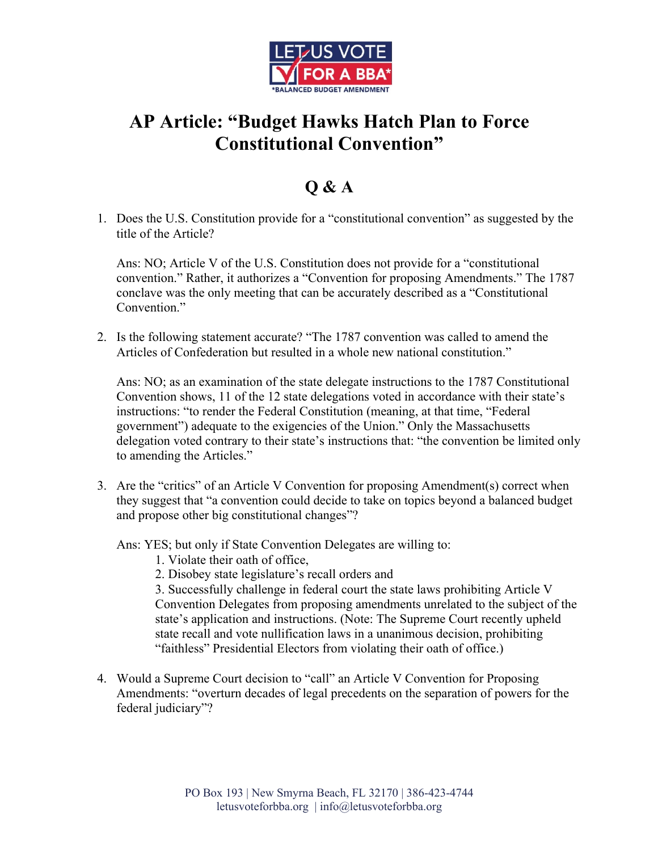

## **AP Article: "Budget Hawks Hatch Plan to Force Constitutional Convention"**

## **Q & A**

1. Does the U.S. Constitution provide for a "constitutional convention" as suggested by the title of the Article?

Ans: NO; Article V of the U.S. Constitution does not provide for a "constitutional convention." Rather, it authorizes a "Convention for proposing Amendments." The 1787 conclave was the only meeting that can be accurately described as a "Constitutional Convention."

2. Is the following statement accurate? "The 1787 convention was called to amend the Articles of Confederation but resulted in a whole new national constitution."

Ans: NO; as an examination of the state delegate instructions to the 1787 Constitutional Convention shows, 11 of the 12 state delegations voted in accordance with their state's instructions: "to render the Federal Constitution (meaning, at that time, "Federal government") adequate to the exigencies of the Union." Only the Massachusetts delegation voted contrary to their state's instructions that: "the convention be limited only to amending the Articles."

3. Are the "critics" of an Article V Convention for proposing Amendment(s) correct when they suggest that "a convention could decide to take on topics beyond a balanced budget and propose other big constitutional changes"?

Ans: YES; but only if State Convention Delegates are willing to:

- 1. Violate their oath of office,
- 2. Disobey state legislature's recall orders and

3. Successfully challenge in federal court the state laws prohibiting Article V Convention Delegates from proposing amendments unrelated to the subject of the state's application and instructions. (Note: The Supreme Court recently upheld state recall and vote nullification laws in a unanimous decision, prohibiting "faithless" Presidential Electors from violating their oath of office.)

4. Would a Supreme Court decision to "call" an Article V Convention for Proposing Amendments: "overturn decades of legal precedents on the separation of powers for the federal judiciary"?